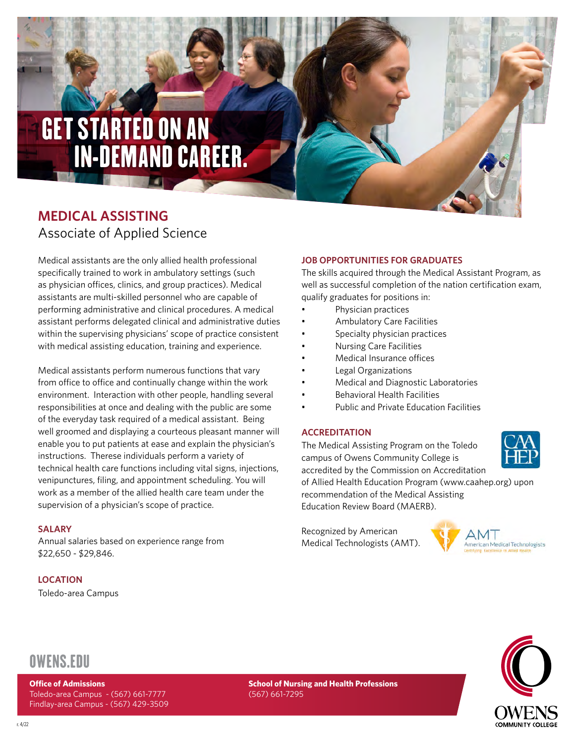# GET STARTED ON AN IN-DEMAND CAREER.

## **MEDICAL ASSISTING** Associate of Applied Science

Medical assistants are the only allied health professional specifically trained to work in ambulatory settings (such as physician offices, clinics, and group practices). Medical assistants are multi-skilled personnel who are capable of performing administrative and clinical procedures. A medical assistant performs delegated clinical and administrative duties within the supervising physicians' scope of practice consistent with medical assisting education, training and experience.

Medical assistants perform numerous functions that vary from office to office and continually change within the work environment. Interaction with other people, handling several responsibilities at once and dealing with the public are some of the everyday task required of a medical assistant. Being well groomed and displaying a courteous pleasant manner will enable you to put patients at ease and explain the physician's instructions. Therese individuals perform a variety of technical health care functions including vital signs, injections, venipunctures, filing, and appointment scheduling. You will work as a member of the allied health care team under the supervision of a physician's scope of practice.

### **SALARY**

Annual salaries based on experience range from \$22,650 - \$29,846.

### **LOCATION**

Toledo-area Campus

### **JOB OPPORTUNITIES FOR GRADUATES**

The skills acquired through the Medical Assistant Program, as well as successful completion of the nation certification exam, qualify graduates for positions in:

- Physician practices
- Ambulatory Care Facilities
- Specialty physician practices
- Nursing Care Facilities
- Medical Insurance offices
- Legal Organizations
- Medical and Diagnostic Laboratories
- Behavioral Health Facilities
- Public and Private Education Facilities

### **ACCREDITATION**

The Medical Assisting Program on the Toledo campus of Owens Community College is

accredited by the Commission on Accreditation of Allied Health Education Program (www.caahep.org) upon

recommendation of the Medical Assisting Education Review Board (MAERB).

Recognized by American Medical Technologists (AMT).





## [OWENS.EDU](https://www.owens.edu/)

#### **Office of Admissions**

Toledo-area Campus - (567) 661-7777 Findlay-area Campus - (567) 429-3509 **School of Nursing and Health Professions** (567) 661-7295